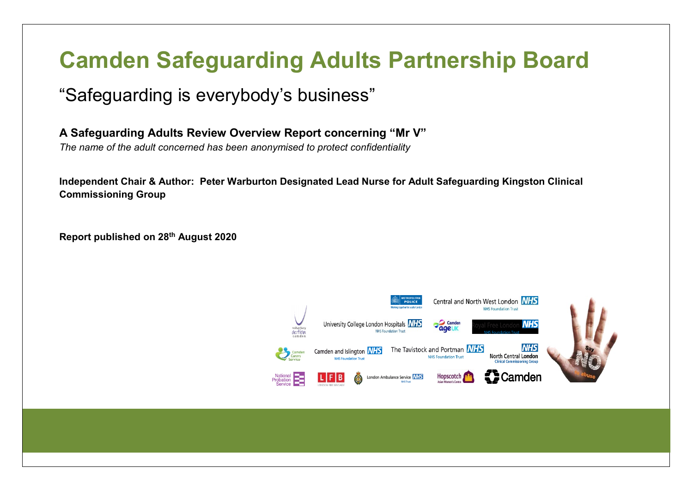# **Camden Safeguarding Adults Partnership Board**

# "Safeguarding is everybody's business"

**A Safeguarding Adults Review Overview Report concerning "Mr V"**

*The name of the adult concerned has been anonymised to protect confidentiality* 

**Independent Chair & Author: Peter Warburton Designated Lead Nurse for Adult Safeguarding Kingston Clinical Commissioning Group**

**Report published on 28th August 2020**

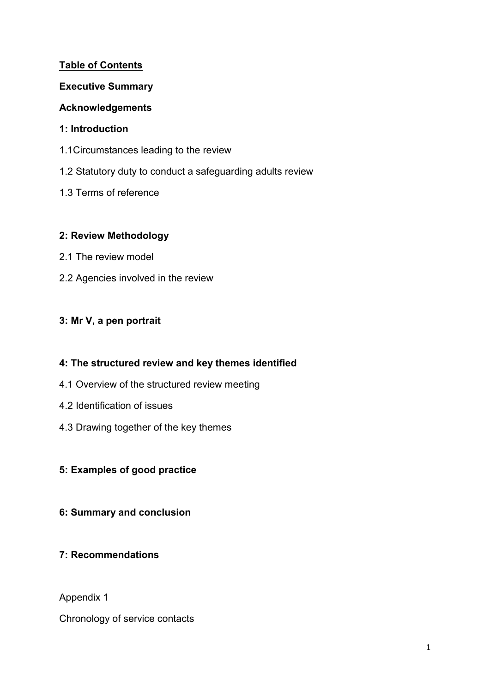#### **Table of Contents**

#### **Executive Summary**

#### **Acknowledgements**

#### **1: Introduction**

- 1.1Circumstances leading to the review
- 1.2 Statutory duty to conduct a safeguarding adults review
- 1.3 Terms of reference

#### **2: Review Methodology**

- 2.1 The review model
- 2.2 Agencies involved in the review

# **3: Mr V, a pen portrait**

# **4: The structured review and key themes identified**

- 4.1 Overview of the structured review meeting
- 4.2 Identification of issues
- 4.3 Drawing together of the key themes

# **5: Examples of good practice**

# **6: Summary and conclusion**

# **7: Recommendations**

Appendix 1

Chronology of service contacts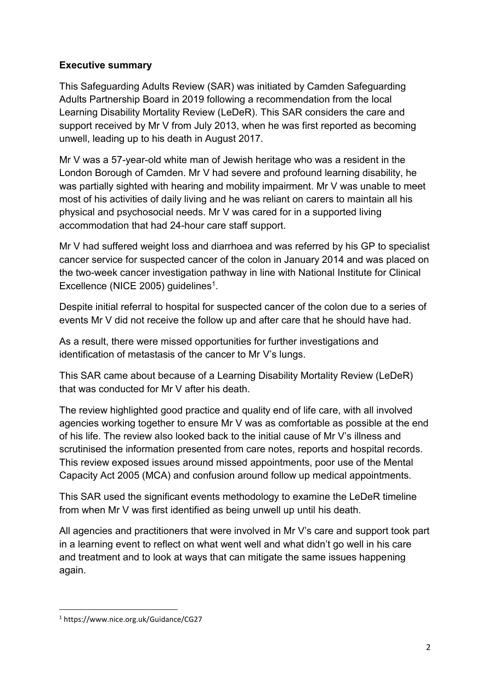#### **Executive summary**

This Safeguarding Adults Review (SAR) was initiated by Camden Safeguarding Adults Partnership Board in 2019 following a recommendation from the local Learning Disability Mortality Review (LeDeR). This SAR considers the care and support received by Mr V from July 2013, when he was first reported as becoming unwell, leading up to his death in August 2017.

Mr V was a 57-year-old white man of Jewish heritage who was a resident in the London Borough of Camden. Mr V had severe and profound learning disability, he was partially sighted with hearing and mobility impairment. Mr V was unable to meet most of his activities of daily living and he was reliant on carers to maintain all his physical and psychosocial needs. Mr V was cared for in a supported living accommodation that had 24-hour care staff support.

Mr V had suffered weight loss and diarrhoea and was referred by his GP to specialist cancer service for suspected cancer of the colon in January 2014 and was placed on the two-week cancer investigation pathway in line with National Institute for Clinical Excellence (NICE 2005) guidelines<sup>1</sup>.

Despite initial referral to hospital for suspected cancer of the colon due to a series of events Mr V did not receive the follow up and after care that he should have had.

As a result, there were missed opportunities for further investigations and identification of metastasis of the cancer to Mr V's lungs.

This SAR came about because of a Learning Disability Mortality Review (LeDeR) that was conducted for Mr V after his death.

The review highlighted good practice and quality end of life care, with all involved agencies working together to ensure Mr V was as comfortable as possible at the end of his life. The review also looked back to the initial cause of Mr V's illness and scrutinised the information presented from care notes, reports and hospital records. This review exposed issues around missed appointments, poor use of the Mental Capacity Act 2005 (MCA) and confusion around follow up medical appointments.

This SAR used the significant events methodology to examine the LeDeR timeline from when Mr V was first identified as being unwell up until his death.

All agencies and practitioners that were involved in Mr V's care and support took part in a learning event to reflect on what went well and what didn't go well in his care and treatment and to look at ways that can mitigate the same issues happening again.

**.** 

<sup>1</sup> https://www.nice.org.uk/Guidance/CG27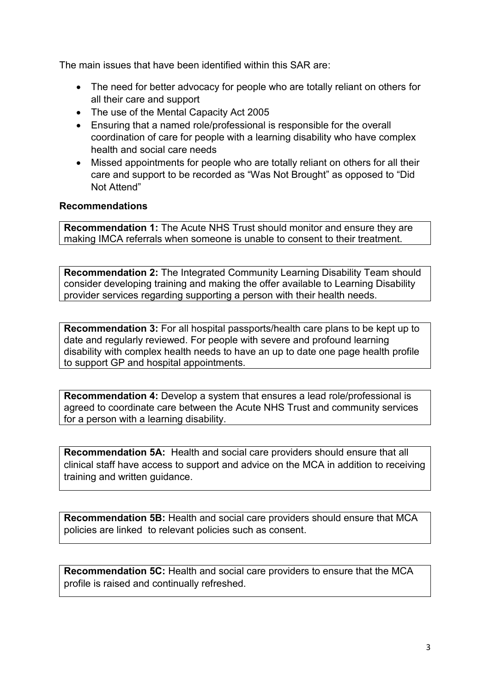The main issues that have been identified within this SAR are:

- The need for better advocacy for people who are totally reliant on others for all their care and support
- The use of the Mental Capacity Act 2005
- Ensuring that a named role/professional is responsible for the overall coordination of care for people with a learning disability who have complex health and social care needs
- Missed appointments for people who are totally reliant on others for all their care and support to be recorded as "Was Not Brought" as opposed to "Did Not Attend"

#### **Recommendations**

**Recommendation 1:** The Acute NHS Trust should monitor and ensure they are making IMCA referrals when someone is unable to consent to their treatment.

**Recommendation 2:** The Integrated Community Learning Disability Team should consider developing training and making the offer available to Learning Disability provider services regarding supporting a person with their health needs.

**Recommendation 3:** For all hospital passports/health care plans to be kept up to date and regularly reviewed. For people with severe and profound learning disability with complex health needs to have an up to date one page health profile to support GP and hospital appointments.

**Recommendation 4:** Develop a system that ensures a lead role/professional is agreed to coordinate care between the Acute NHS Trust and community services for a person with a learning disability.

**Recommendation 5A:** Health and social care providers should ensure that all clinical staff have access to support and advice on the MCA in addition to receiving training and written guidance.

**Recommendation 5B:** Health and social care providers should ensure that MCA policies are linked to relevant policies such as consent.

**Recommendation 5C:** Health and social care providers to ensure that the MCA profile is raised and continually refreshed.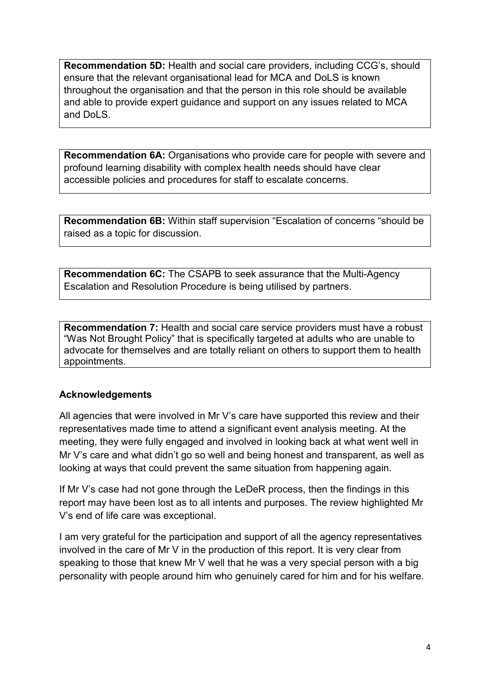**Recommendation 5D:** Health and social care providers, including CCG's, should ensure that the relevant organisational lead for MCA and DoLS is known throughout the organisation and that the person in this role should be available and able to provide expert guidance and support on any issues related to MCA and DoLS.

**Recommendation 6A:** Organisations who provide care for people with severe and profound learning disability with complex health needs should have clear accessible policies and procedures for staff to escalate concerns.

**Recommendation 6B:** Within staff supervision "Escalation of concerns "should be raised as a topic for discussion.

**Recommendation 6C:** The CSAPB to seek assurance that the Multi-Agency Escalation and Resolution Procedure is being utilised by partners.

**Recommendation 7:** Health and social care service providers must have a robust "Was Not Brought Policy" that is specifically targeted at adults who are unable to advocate for themselves and are totally reliant on others to support them to health appointments.

#### **Acknowledgements**

All agencies that were involved in Mr V's care have supported this review and their representatives made time to attend a significant event analysis meeting. At the meeting, they were fully engaged and involved in looking back at what went well in Mr V's care and what didn't go so well and being honest and transparent, as well as looking at ways that could prevent the same situation from happening again.

If Mr V's case had not gone through the LeDeR process, then the findings in this report may have been lost as to all intents and purposes. The review highlighted Mr V's end of life care was exceptional.

I am very grateful for the participation and support of all the agency representatives involved in the care of Mr V in the production of this report. It is very clear from speaking to those that knew Mr V well that he was a very special person with a big personality with people around him who genuinely cared for him and for his welfare.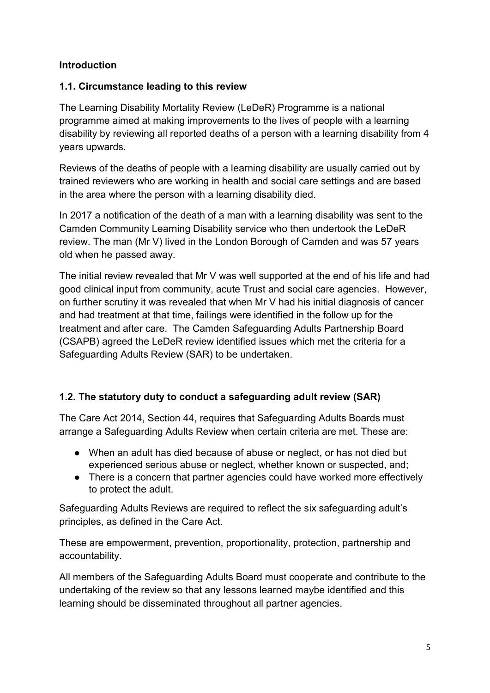#### **Introduction**

# **1.1. Circumstance leading to this review**

The Learning Disability Mortality Review (LeDeR) Programme is a national programme aimed at making improvements to the lives of people with a learning disability by reviewing all reported deaths of a person with a learning disability from 4 years upwards.

Reviews of the deaths of people with a learning disability are usually carried out by trained reviewers who are working in health and social care settings and are based in the area where the person with a learning disability died.

In 2017 a notification of the death of a man with a learning disability was sent to the Camden Community Learning Disability service who then undertook the LeDeR review. The man (Mr V) lived in the London Borough of Camden and was 57 years old when he passed away.

The initial review revealed that Mr V was well supported at the end of his life and had good clinical input from community, acute Trust and social care agencies. However, on further scrutiny it was revealed that when Mr V had his initial diagnosis of cancer and had treatment at that time, failings were identified in the follow up for the treatment and after care. The Camden Safeguarding Adults Partnership Board (CSAPB) agreed the LeDeR review identified issues which met the criteria for a Safeguarding Adults Review (SAR) to be undertaken.

# **1.2. The statutory duty to conduct a safeguarding adult review (SAR)**

The Care Act 2014, Section 44, requires that Safeguarding Adults Boards must arrange a Safeguarding Adults Review when certain criteria are met. These are:

- When an adult has died because of abuse or neglect, or has not died but experienced serious abuse or neglect, whether known or suspected, and;
- There is a concern that partner agencies could have worked more effectively to protect the adult.

Safeguarding Adults Reviews are required to reflect the six safeguarding adult's principles, as defined in the Care Act.

These are empowerment, prevention, proportionality, protection, partnership and accountability.

All members of the Safeguarding Adults Board must cooperate and contribute to the undertaking of the review so that any lessons learned maybe identified and this learning should be disseminated throughout all partner agencies.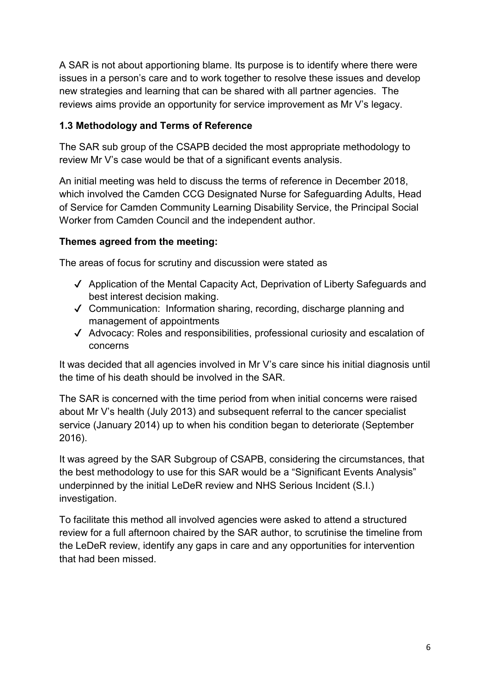A SAR is not about apportioning blame. Its purpose is to identify where there were issues in a person's care and to work together to resolve these issues and develop new strategies and learning that can be shared with all partner agencies. The reviews aims provide an opportunity for service improvement as Mr V's legacy.

# **1.3 Methodology and Terms of Reference**

The SAR sub group of the CSAPB decided the most appropriate methodology to review Mr V's case would be that of a significant events analysis.

An initial meeting was held to discuss the terms of reference in December 2018, which involved the Camden CCG Designated Nurse for Safeguarding Adults, Head of Service for Camden Community Learning Disability Service, the Principal Social Worker from Camden Council and the independent author.

#### **Themes agreed from the meeting:**

The areas of focus for scrutiny and discussion were stated as

- ✔ Application of the Mental Capacity Act, Deprivation of Liberty Safeguards and best interest decision making.
- ✔ Communication: Information sharing, recording, discharge planning and management of appointments
- ✔ Advocacy: Roles and responsibilities, professional curiosity and escalation of concerns

It was decided that all agencies involved in Mr V's care since his initial diagnosis until the time of his death should be involved in the SAR.

The SAR is concerned with the time period from when initial concerns were raised about Mr V's health (July 2013) and subsequent referral to the cancer specialist service (January 2014) up to when his condition began to deteriorate (September 2016).

It was agreed by the SAR Subgroup of CSAPB, considering the circumstances, that the best methodology to use for this SAR would be a "Significant Events Analysis" underpinned by the initial LeDeR review and NHS Serious Incident (S.I.) investigation.

To facilitate this method all involved agencies were asked to attend a structured review for a full afternoon chaired by the SAR author, to scrutinise the timeline from the LeDeR review, identify any gaps in care and any opportunities for intervention that had been missed.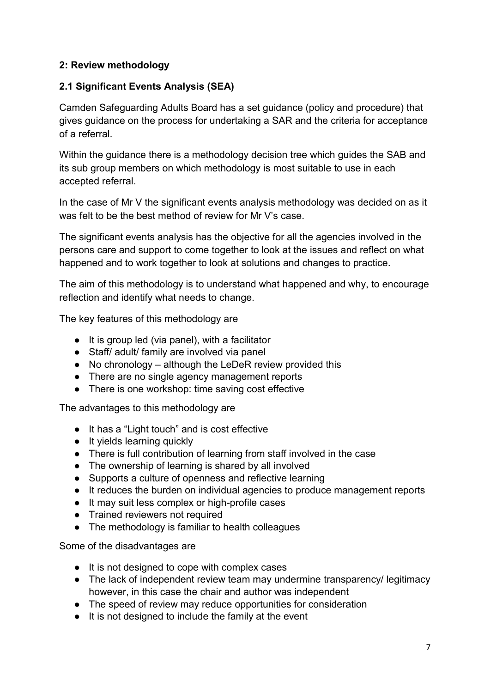# **2: Review methodology**

#### **2.1 Significant Events Analysis (SEA)**

Camden Safeguarding Adults Board has a set guidance (policy and procedure) that gives guidance on the process for undertaking a SAR and the criteria for acceptance of a referral.

Within the guidance there is a methodology decision tree which guides the SAB and its sub group members on which methodology is most suitable to use in each accepted referral.

In the case of Mr V the significant events analysis methodology was decided on as it was felt to be the best method of review for Mr V's case.

The significant events analysis has the objective for all the agencies involved in the persons care and support to come together to look at the issues and reflect on what happened and to work together to look at solutions and changes to practice.

The aim of this methodology is to understand what happened and why, to encourage reflection and identify what needs to change.

The key features of this methodology are

- It is group led (via panel), with a facilitator
- Staff/ adult/ family are involved via panel
- No chronology although the LeDeR review provided this
- There are no single agency management reports
- There is one workshop: time saving cost effective

The advantages to this methodology are

- It has a "Light touch" and is cost effective
- It yields learning quickly
- There is full contribution of learning from staff involved in the case
- The ownership of learning is shared by all involved
- Supports a culture of openness and reflective learning
- It reduces the burden on individual agencies to produce management reports
- It may suit less complex or high-profile cases
- Trained reviewers not required
- The methodology is familiar to health colleagues

Some of the disadvantages are

- It is not designed to cope with complex cases
- The lack of independent review team may undermine transparency/ legitimacy however, in this case the chair and author was independent
- The speed of review may reduce opportunities for consideration
- It is not designed to include the family at the event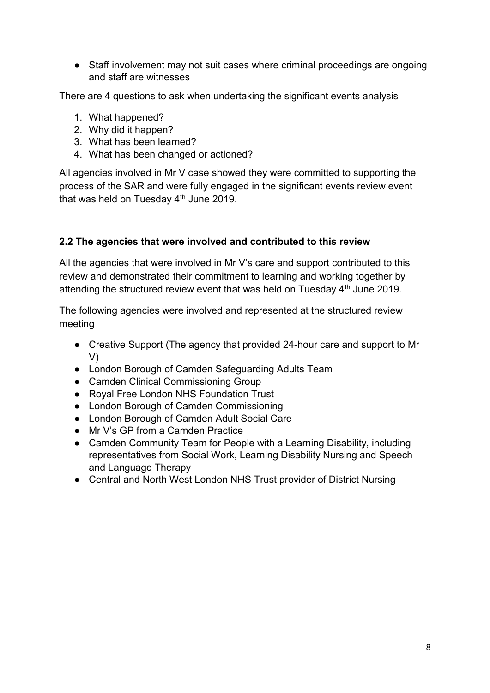● Staff involvement may not suit cases where criminal proceedings are ongoing and staff are witnesses

There are 4 questions to ask when undertaking the significant events analysis

- 1. What happened?
- 2. Why did it happen?
- 3. What has been learned?
- 4. What has been changed or actioned?

All agencies involved in Mr V case showed they were committed to supporting the process of the SAR and were fully engaged in the significant events review event that was held on Tuesday  $4<sup>th</sup>$  June 2019.

#### **2.2 The agencies that were involved and contributed to this review**

All the agencies that were involved in Mr V's care and support contributed to this review and demonstrated their commitment to learning and working together by attending the structured review event that was held on Tuesday 4<sup>th</sup> June 2019.

The following agencies were involved and represented at the structured review meeting

- Creative Support (The agency that provided 24-hour care and support to Mr V)
- London Borough of Camden Safeguarding Adults Team
- Camden Clinical Commissioning Group
- Royal Free London NHS Foundation Trust
- London Borough of Camden Commissioning
- London Borough of Camden Adult Social Care
- Mr V's GP from a Camden Practice
- Camden Community Team for People with a Learning Disability, including representatives from Social Work, Learning Disability Nursing and Speech and Language Therapy
- Central and North West London NHS Trust provider of District Nursing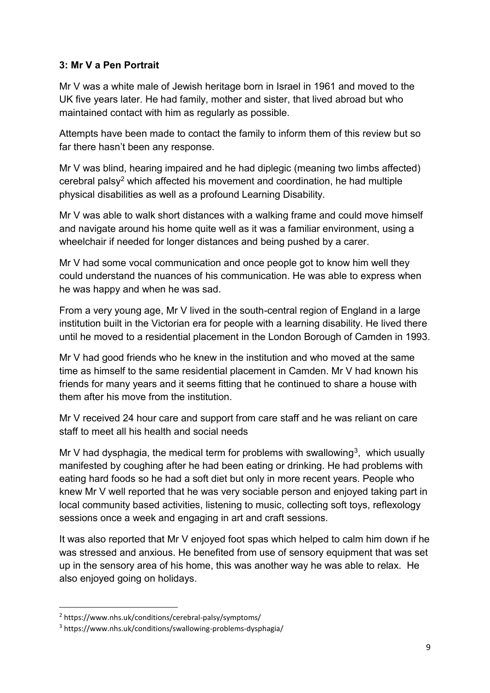#### **3: Mr V a Pen Portrait**

Mr V was a white male of Jewish heritage born in Israel in 1961 and moved to the UK five years later. He had family, mother and sister, that lived abroad but who maintained contact with him as regularly as possible.

Attempts have been made to contact the family to inform them of this review but so far there hasn't been any response.

Mr V was blind, hearing impaired and he had diplegic (meaning two limbs affected) cerebral palsy<sup>2</sup> which affected his movement and coordination, he had multiple physical disabilities as well as a profound Learning Disability.

Mr V was able to walk short distances with a walking frame and could move himself and navigate around his home quite well as it was a familiar environment, using a wheelchair if needed for longer distances and being pushed by a carer.

Mr V had some vocal communication and once people got to know him well they could understand the nuances of his communication. He was able to express when he was happy and when he was sad.

From a very young age, Mr V lived in the south-central region of England in a large institution built in the Victorian era for people with a learning disability. He lived there until he moved to a residential placement in the London Borough of Camden in 1993.

Mr V had good friends who he knew in the institution and who moved at the same time as himself to the same residential placement in Camden. Mr V had known his friends for many years and it seems fitting that he continued to share a house with them after his move from the institution.

Mr V received 24 hour care and support from care staff and he was reliant on care staff to meet all his health and social needs

Mr V had dysphagia, the medical term for problems with swallowing<sup>3</sup>, which usually manifested by coughing after he had been eating or drinking. He had problems with eating hard foods so he had a soft diet but only in more recent years. People who knew Mr V well reported that he was very sociable person and enjoyed taking part in local community based activities, listening to music, collecting soft toys, reflexology sessions once a week and engaging in art and craft sessions.

It was also reported that Mr V enjoyed foot spas which helped to calm him down if he was stressed and anxious. He benefited from use of sensory equipment that was set up in the sensory area of his home, this was another way he was able to relax. He also enjoyed going on holidays.

**.** 

<sup>2</sup> https://www.nhs.uk/conditions/cerebral-palsy/symptoms/

<sup>3</sup> https://www.nhs.uk/conditions/swallowing-problems-dysphagia/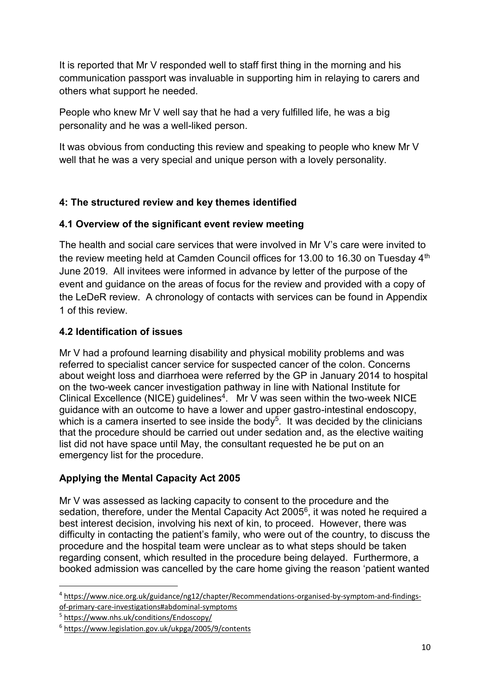It is reported that Mr V responded well to staff first thing in the morning and his communication passport was invaluable in supporting him in relaying to carers and others what support he needed.

People who knew Mr V well say that he had a very fulfilled life, he was a big personality and he was a well-liked person.

It was obvious from conducting this review and speaking to people who knew Mr V well that he was a very special and unique person with a lovely personality.

# **4: The structured review and key themes identified**

# **4.1 Overview of the significant event review meeting**

The health and social care services that were involved in Mr V's care were invited to the review meeting held at Camden Council offices for 13.00 to 16.30 on Tuesday 4<sup>th</sup> June 2019. All invitees were informed in advance by letter of the purpose of the event and guidance on the areas of focus for the review and provided with a copy of the LeDeR review. A chronology of contacts with services can be found in Appendix 1 of this review.

#### **4.2 Identification of issues**

Mr V had a profound learning disability and physical mobility problems and was referred to specialist cancer service for suspected cancer of the colon. Concerns about weight loss and diarrhoea were referred by the GP in January 2014 to hospital on the two-week cancer investigation pathway in line with National Institute for Clinical Excellence (NICE) guidelines<sup>4</sup>. Mr V was seen within the two-week NICE guidance with an outcome to have a lower and upper gastro-intestinal endoscopy, which is a camera inserted to see inside the body<sup>5</sup>. It was decided by the clinicians that the procedure should be carried out under sedation and, as the elective waiting list did not have space until May, the consultant requested he be put on an emergency list for the procedure.

# **Applying the Mental Capacity Act 2005**

Mr V was assessed as lacking capacity to consent to the procedure and the sedation, therefore, under the Mental Capacity Act 2005<sup>6</sup>, it was noted he required a best interest decision, involving his next of kin, to proceed. However, there was difficulty in contacting the patient's family, who were out of the country, to discuss the procedure and the hospital team were unclear as to what steps should be taken regarding consent, which resulted in the procedure being delayed. Furthermore, a booked admission was cancelled by the care home giving the reason 'patient wanted

5 <https://www.nhs.uk/conditions/Endoscopy/>

 $\overline{a}$ 

<sup>4</sup> [https://www.nice.org.uk/guidance/ng12/chapter/Recommendations-organised-by-symptom-and-findings](https://www.nice.org.uk/guidance/ng12/chapter/Recommendations-organised-by-symptom-and-findings-of-primary-care-investigations#abdominal-symptoms)[of-primary-care-investigations#abdominal-symptoms](https://www.nice.org.uk/guidance/ng12/chapter/Recommendations-organised-by-symptom-and-findings-of-primary-care-investigations#abdominal-symptoms)

<sup>6</sup> <https://www.legislation.gov.uk/ukpga/2005/9/contents>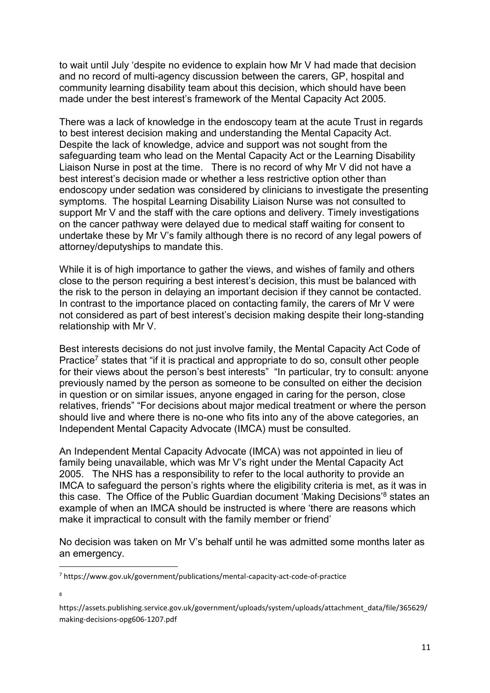to wait until July 'despite no evidence to explain how Mr V had made that decision and no record of multi-agency discussion between the carers, GP, hospital and community learning disability team about this decision, which should have been made under the best interest's framework of the Mental Capacity Act 2005.

There was a lack of knowledge in the endoscopy team at the acute Trust in regards to best interest decision making and understanding the Mental Capacity Act. Despite the lack of knowledge, advice and support was not sought from the safeguarding team who lead on the Mental Capacity Act or the Learning Disability Liaison Nurse in post at the time. There is no record of why Mr V did not have a best interest's decision made or whether a less restrictive option other than endoscopy under sedation was considered by clinicians to investigate the presenting symptoms. The hospital Learning Disability Liaison Nurse was not consulted to support Mr V and the staff with the care options and delivery. Timely investigations on the cancer pathway were delayed due to medical staff waiting for consent to undertake these by Mr V's family although there is no record of any legal powers of attorney/deputyships to mandate this.

While it is of high importance to gather the views, and wishes of family and others close to the person requiring a best interest's decision, this must be balanced with the risk to the person in delaying an important decision if they cannot be contacted. In contrast to the importance placed on contacting family, the carers of Mr V were not considered as part of best interest's decision making despite their long-standing relationship with Mr V.

Best interests decisions do not just involve family, the Mental Capacity Act Code of Practice<sup>7</sup> states that "if it is practical and appropriate to do so, consult other people for their views about the person's best interests" "In particular, try to consult: anyone previously named by the person as someone to be consulted on either the decision in question or on similar issues, anyone engaged in caring for the person, close relatives, friends" "For decisions about major medical treatment or where the person should live and where there is no-one who fits into any of the above categories, an Independent Mental Capacity Advocate (IMCA) must be consulted.

An Independent Mental Capacity Advocate (IMCA) was not appointed in lieu of family being unavailable, which was Mr V's right under the Mental Capacity Act 2005. The NHS has a responsibility to refer to the local authority to provide an IMCA to safeguard the person's rights where the eligibility criteria is met, as it was in this case. The Office of the Public Guardian document 'Making Decisions'<sup>8</sup> states an example of when an IMCA should be instructed is where 'there are reasons which make it impractical to consult with the family member or friend'

No decision was taken on Mr V's behalf until he was admitted some months later as an emergency.

8

 $\overline{a}$ 

<sup>7</sup> https://www.gov.uk/government/publications/mental-capacity-act-code-of-practice

https://assets.publishing.service.gov.uk/government/uploads/system/uploads/attachment\_data/file/365629/ making-decisions-opg606-1207.pdf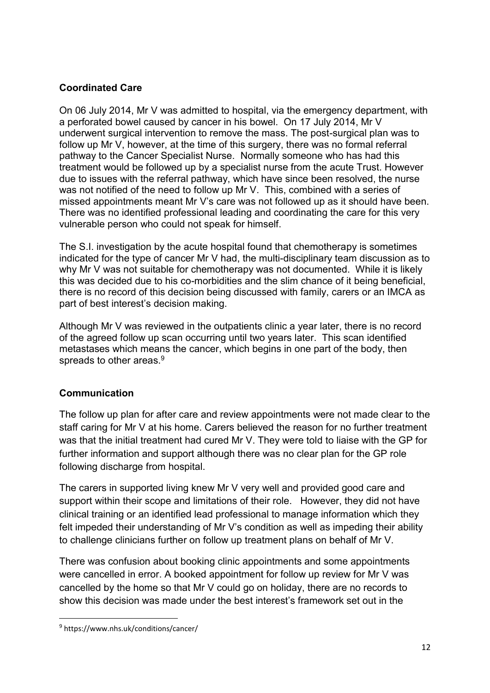#### **Coordinated Care**

On 06 July 2014, Mr V was admitted to hospital, via the emergency department, with a perforated bowel caused by cancer in his bowel. On 17 July 2014, Mr V underwent surgical intervention to remove the mass. The post-surgical plan was to follow up Mr V, however, at the time of this surgery, there was no formal referral pathway to the Cancer Specialist Nurse. Normally someone who has had this treatment would be followed up by a specialist nurse from the acute Trust. However due to issues with the referral pathway, which have since been resolved, the nurse was not notified of the need to follow up Mr V. This, combined with a series of missed appointments meant Mr V's care was not followed up as it should have been. There was no identified professional leading and coordinating the care for this very vulnerable person who could not speak for himself.

The S.I. investigation by the acute hospital found that chemotherapy is sometimes indicated for the type of cancer Mr V had, the multi-disciplinary team discussion as to why Mr V was not suitable for chemotherapy was not documented. While it is likely this was decided due to his co-morbidities and the slim chance of it being beneficial, there is no record of this decision being discussed with family, carers or an IMCA as part of best interest's decision making.

Although Mr V was reviewed in the outpatients clinic a year later, there is no record of the agreed follow up scan occurring until two years later. This scan identified metastases which means the cancer, which begins in one part of the body, then spreads to other areas.<sup>9</sup>

# **Communication**

The follow up plan for after care and review appointments were not made clear to the staff caring for Mr V at his home. Carers believed the reason for no further treatment was that the initial treatment had cured Mr V. They were told to liaise with the GP for further information and support although there was no clear plan for the GP role following discharge from hospital.

The carers in supported living knew Mr V very well and provided good care and support within their scope and limitations of their role. However, they did not have clinical training or an identified lead professional to manage information which they felt impeded their understanding of Mr V's condition as well as impeding their ability to challenge clinicians further on follow up treatment plans on behalf of Mr V.

There was confusion about booking clinic appointments and some appointments were cancelled in error. A booked appointment for follow up review for Mr V was cancelled by the home so that Mr V could go on holiday, there are no records to show this decision was made under the best interest's framework set out in the

**.** 

<sup>9</sup> https://www.nhs.uk/conditions/cancer/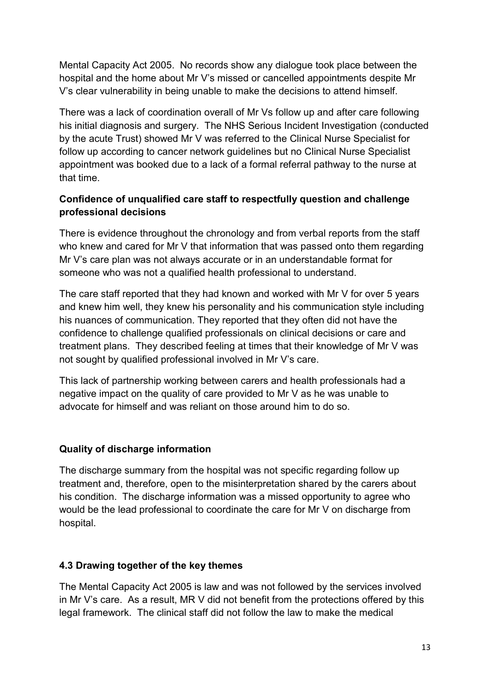Mental Capacity Act 2005. No records show any dialogue took place between the hospital and the home about Mr V's missed or cancelled appointments despite Mr V's clear vulnerability in being unable to make the decisions to attend himself.

There was a lack of coordination overall of Mr Vs follow up and after care following his initial diagnosis and surgery. The NHS Serious Incident Investigation (conducted by the acute Trust) showed Mr V was referred to the Clinical Nurse Specialist for follow up according to cancer network guidelines but no Clinical Nurse Specialist appointment was booked due to a lack of a formal referral pathway to the nurse at that time.

# **Confidence of unqualified care staff to respectfully question and challenge professional decisions**

There is evidence throughout the chronology and from verbal reports from the staff who knew and cared for Mr V that information that was passed onto them regarding Mr V's care plan was not always accurate or in an understandable format for someone who was not a qualified health professional to understand.

The care staff reported that they had known and worked with Mr V for over 5 years and knew him well, they knew his personality and his communication style including his nuances of communication. They reported that they often did not have the confidence to challenge qualified professionals on clinical decisions or care and treatment plans. They described feeling at times that their knowledge of Mr V was not sought by qualified professional involved in Mr V's care.

This lack of partnership working between carers and health professionals had a negative impact on the quality of care provided to Mr V as he was unable to advocate for himself and was reliant on those around him to do so.

# **Quality of discharge information**

The discharge summary from the hospital was not specific regarding follow up treatment and, therefore, open to the misinterpretation shared by the carers about his condition. The discharge information was a missed opportunity to agree who would be the lead professional to coordinate the care for Mr V on discharge from hospital.

#### **4.3 Drawing together of the key themes**

The Mental Capacity Act 2005 is law and was not followed by the services involved in Mr V's care. As a result, MR V did not benefit from the protections offered by this legal framework. The clinical staff did not follow the law to make the medical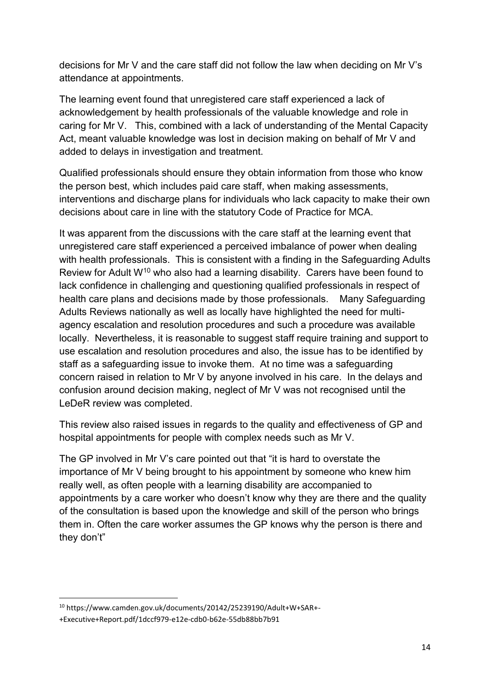decisions for Mr V and the care staff did not follow the law when deciding on Mr V's attendance at appointments.

The learning event found that unregistered care staff experienced a lack of acknowledgement by health professionals of the valuable knowledge and role in caring for Mr V. This, combined with a lack of understanding of the Mental Capacity Act, meant valuable knowledge was lost in decision making on behalf of Mr V and added to delays in investigation and treatment.

Qualified professionals should ensure they obtain information from those who know the person best, which includes paid care staff, when making assessments, interventions and discharge plans for individuals who lack capacity to make their own decisions about care in line with the statutory Code of Practice for MCA.

It was apparent from the discussions with the care staff at the learning event that unregistered care staff experienced a perceived imbalance of power when dealing with health professionals. This is consistent with a finding in the Safeguarding Adults Review for Adult W<sup>10</sup> who also had a learning disability. Carers have been found to lack confidence in challenging and questioning qualified professionals in respect of health care plans and decisions made by those professionals. Many Safeguarding Adults Reviews nationally as well as locally have highlighted the need for multiagency escalation and resolution procedures and such a procedure was available locally. Nevertheless, it is reasonable to suggest staff require training and support to use escalation and resolution procedures and also, the issue has to be identified by staff as a safeguarding issue to invoke them. At no time was a safeguarding concern raised in relation to Mr V by anyone involved in his care. In the delays and confusion around decision making, neglect of Mr V was not recognised until the LeDeR review was completed.

This review also raised issues in regards to the quality and effectiveness of GP and hospital appointments for people with complex needs such as Mr V.

The GP involved in Mr V's care pointed out that "it is hard to overstate the importance of Mr V being brought to his appointment by someone who knew him really well, as often people with a learning disability are accompanied to appointments by a care worker who doesn't know why they are there and the quality of the consultation is based upon the knowledge and skill of the person who brings them in. Often the care worker assumes the GP knows why the person is there and they don't"

<sup>1</sup> <sup>10</sup> https://www.camden.gov.uk/documents/20142/25239190/Adult+W+SAR+-

<sup>+</sup>Executive+Report.pdf/1dccf979-e12e-cdb0-b62e-55db88bb7b91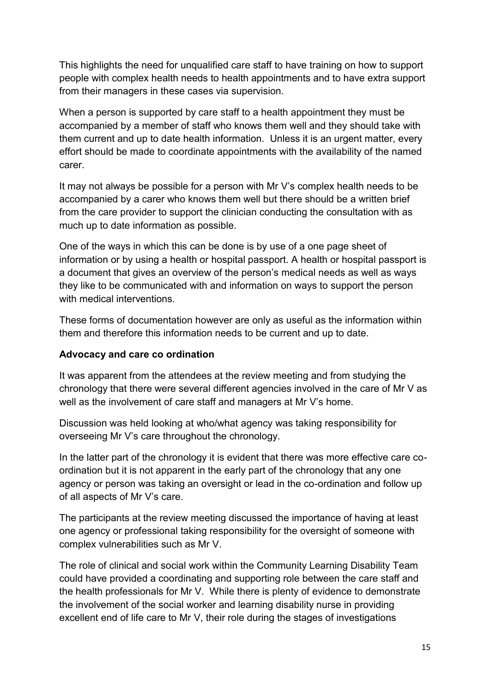This highlights the need for unqualified care staff to have training on how to support people with complex health needs to health appointments and to have extra support from their managers in these cases via supervision.

When a person is supported by care staff to a health appointment they must be accompanied by a member of staff who knows them well and they should take with them current and up to date health information. Unless it is an urgent matter, every effort should be made to coordinate appointments with the availability of the named carer.

It may not always be possible for a person with Mr V's complex health needs to be accompanied by a carer who knows them well but there should be a written brief from the care provider to support the clinician conducting the consultation with as much up to date information as possible.

One of the ways in which this can be done is by use of a one page sheet of information or by using a health or hospital passport. A health or hospital passport is a document that gives an overview of the person's medical needs as well as ways they like to be communicated with and information on ways to support the person with medical interventions.

These forms of documentation however are only as useful as the information within them and therefore this information needs to be current and up to date.

#### **Advocacy and care co ordination**

It was apparent from the attendees at the review meeting and from studying the chronology that there were several different agencies involved in the care of Mr V as well as the involvement of care staff and managers at Mr V's home.

Discussion was held looking at who/what agency was taking responsibility for overseeing Mr V's care throughout the chronology.

In the latter part of the chronology it is evident that there was more effective care coordination but it is not apparent in the early part of the chronology that any one agency or person was taking an oversight or lead in the co-ordination and follow up of all aspects of Mr V's care.

The participants at the review meeting discussed the importance of having at least one agency or professional taking responsibility for the oversight of someone with complex vulnerabilities such as Mr V.

The role of clinical and social work within the Community Learning Disability Team could have provided a coordinating and supporting role between the care staff and the health professionals for Mr V. While there is plenty of evidence to demonstrate the involvement of the social worker and learning disability nurse in providing excellent end of life care to Mr V, their role during the stages of investigations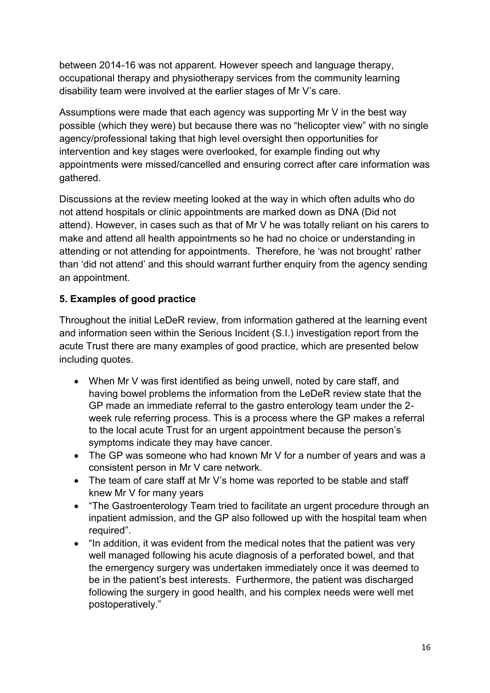between 2014-16 was not apparent. However speech and language therapy, occupational therapy and physiotherapy services from the community learning disability team were involved at the earlier stages of Mr V's care.

Assumptions were made that each agency was supporting Mr V in the best way possible (which they were) but because there was no "helicopter view" with no single agency/professional taking that high level oversight then opportunities for intervention and key stages were overlooked, for example finding out why appointments were missed/cancelled and ensuring correct after care information was gathered.

Discussions at the review meeting looked at the way in which often adults who do not attend hospitals or clinic appointments are marked down as DNA (Did not attend). However, in cases such as that of Mr V he was totally reliant on his carers to make and attend all health appointments so he had no choice or understanding in attending or not attending for appointments. Therefore, he 'was not brought' rather than 'did not attend' and this should warrant further enquiry from the agency sending an appointment.

#### **5. Examples of good practice**

Throughout the initial LeDeR review, from information gathered at the learning event and information seen within the Serious Incident (S.I.) investigation report from the acute Trust there are many examples of good practice, which are presented below including quotes.

- When Mr V was first identified as being unwell, noted by care staff, and having bowel problems the information from the LeDeR review state that the GP made an immediate referral to the gastro enterology team under the 2 week rule referring process. This is a process where the GP makes a referral to the local acute Trust for an urgent appointment because the person's symptoms indicate they may have cancer.
- The GP was someone who had known Mr V for a number of years and was a consistent person in Mr V care network.
- The team of care staff at Mr V's home was reported to be stable and staff knew Mr V for many years
- "The Gastroenterology Team tried to facilitate an urgent procedure through an inpatient admission, and the GP also followed up with the hospital team when required".
- "In addition, it was evident from the medical notes that the patient was very well managed following his acute diagnosis of a perforated bowel, and that the emergency surgery was undertaken immediately once it was deemed to be in the patient's best interests. Furthermore, the patient was discharged following the surgery in good health, and his complex needs were well met postoperatively."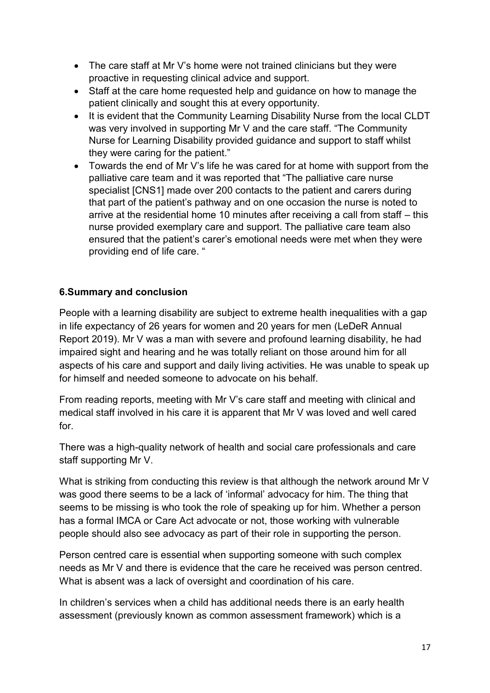- The care staff at Mr V's home were not trained clinicians but they were proactive in requesting clinical advice and support.
- Staff at the care home requested help and guidance on how to manage the patient clinically and sought this at every opportunity.
- It is evident that the Community Learning Disability Nurse from the local CLDT was very involved in supporting Mr V and the care staff. "The Community Nurse for Learning Disability provided guidance and support to staff whilst they were caring for the patient."
- Towards the end of Mr V's life he was cared for at home with support from the palliative care team and it was reported that "The palliative care nurse specialist [CNS1] made over 200 contacts to the patient and carers during that part of the patient's pathway and on one occasion the nurse is noted to arrive at the residential home 10 minutes after receiving a call from staff – this nurse provided exemplary care and support. The palliative care team also ensured that the patient's carer's emotional needs were met when they were providing end of life care. "

# **6.Summary and conclusion**

People with a learning disability are subject to extreme health inequalities with a gap in life expectancy of 26 years for women and 20 years for men (LeDeR Annual Report 2019). Mr V was a man with severe and profound learning disability, he had impaired sight and hearing and he was totally reliant on those around him for all aspects of his care and support and daily living activities. He was unable to speak up for himself and needed someone to advocate on his behalf.

From reading reports, meeting with Mr V's care staff and meeting with clinical and medical staff involved in his care it is apparent that Mr V was loved and well cared for.

There was a high-quality network of health and social care professionals and care staff supporting Mr V.

What is striking from conducting this review is that although the network around Mr V was good there seems to be a lack of 'informal' advocacy for him. The thing that seems to be missing is who took the role of speaking up for him. Whether a person has a formal IMCA or Care Act advocate or not, those working with vulnerable people should also see advocacy as part of their role in supporting the person.

Person centred care is essential when supporting someone with such complex needs as Mr V and there is evidence that the care he received was person centred. What is absent was a lack of oversight and coordination of his care.

In children's services when a child has additional needs there is an early health assessment (previously known as common assessment framework) which is a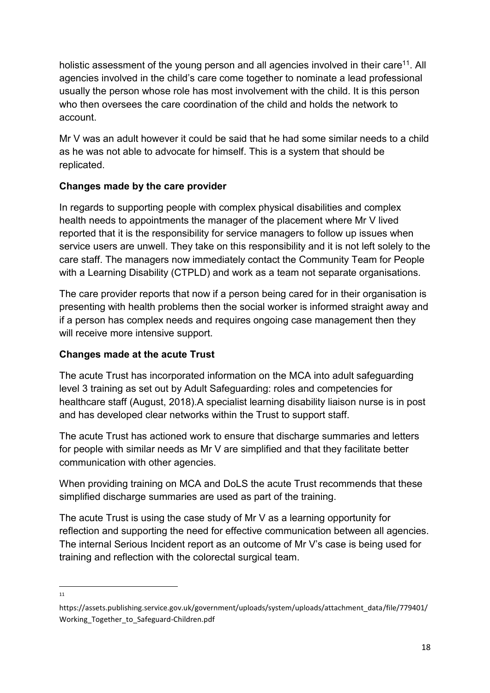holistic assessment of the young person and all agencies involved in their care<sup>11</sup>. All agencies involved in the child's care come together to nominate a lead professional usually the person whose role has most involvement with the child. It is this person who then oversees the care coordination of the child and holds the network to account.

Mr V was an adult however it could be said that he had some similar needs to a child as he was not able to advocate for himself. This is a system that should be replicated.

# **Changes made by the care provider**

In regards to supporting people with complex physical disabilities and complex health needs to appointments the manager of the placement where Mr V lived reported that it is the responsibility for service managers to follow up issues when service users are unwell. They take on this responsibility and it is not left solely to the care staff. The managers now immediately contact the Community Team for People with a Learning Disability (CTPLD) and work as a team not separate organisations.

The care provider reports that now if a person being cared for in their organisation is presenting with health problems then the social worker is informed straight away and if a person has complex needs and requires ongoing case management then they will receive more intensive support.

# **Changes made at the acute Trust**

The acute Trust has incorporated information on the MCA into adult safeguarding level 3 training as set out by Adult Safeguarding: roles and competencies for healthcare staff (August, 2018).A specialist learning disability liaison nurse is in post and has developed clear networks within the Trust to support staff.

The acute Trust has actioned work to ensure that discharge summaries and letters for people with similar needs as Mr V are simplified and that they facilitate better communication with other agencies.

When providing training on MCA and DoLS the acute Trust recommends that these simplified discharge summaries are used as part of the training.

The acute Trust is using the case study of Mr V as a learning opportunity for reflection and supporting the need for effective communication between all agencies. The internal Serious Incident report as an outcome of Mr V's case is being used for training and reflection with the colorectal surgical team.

**<sup>.</sup>** 11

https://assets.publishing.service.gov.uk/government/uploads/system/uploads/attachment\_data/file/779401/ Working Together to Safeguard-Children.pdf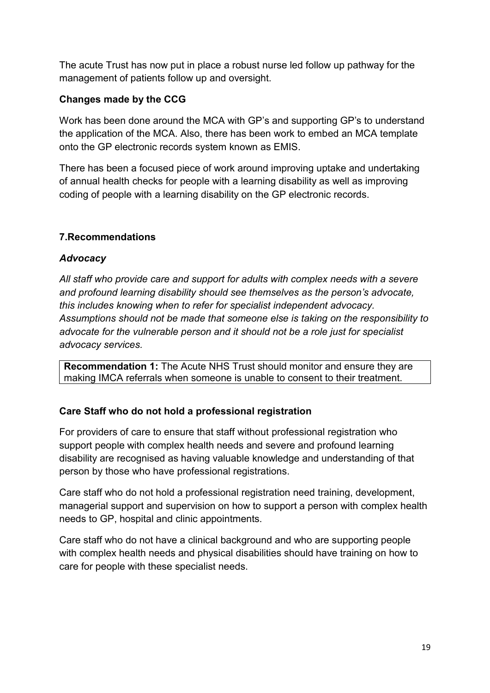The acute Trust has now put in place a robust nurse led follow up pathway for the management of patients follow up and oversight.

# **Changes made by the CCG**

Work has been done around the MCA with GP's and supporting GP's to understand the application of the MCA. Also, there has been work to embed an MCA template onto the GP electronic records system known as EMIS.

There has been a focused piece of work around improving uptake and undertaking of annual health checks for people with a learning disability as well as improving coding of people with a learning disability on the GP electronic records.

# **7.Recommendations**

# *Advocacy*

*All staff who provide care and support for adults with complex needs with a severe and profound learning disability should see themselves as the person's advocate, this includes knowing when to refer for specialist independent advocacy. Assumptions should not be made that someone else is taking on the responsibility to advocate for the vulnerable person and it should not be a role just for specialist advocacy services.* 

**Recommendation 1:** The Acute NHS Trust should monitor and ensure they are making IMCA referrals when someone is unable to consent to their treatment.

# **Care Staff who do not hold a professional registration**

For providers of care to ensure that staff without professional registration who support people with complex health needs and severe and profound learning disability are recognised as having valuable knowledge and understanding of that person by those who have professional registrations.

Care staff who do not hold a professional registration need training, development, managerial support and supervision on how to support a person with complex health needs to GP, hospital and clinic appointments.

Care staff who do not have a clinical background and who are supporting people with complex health needs and physical disabilities should have training on how to care for people with these specialist needs.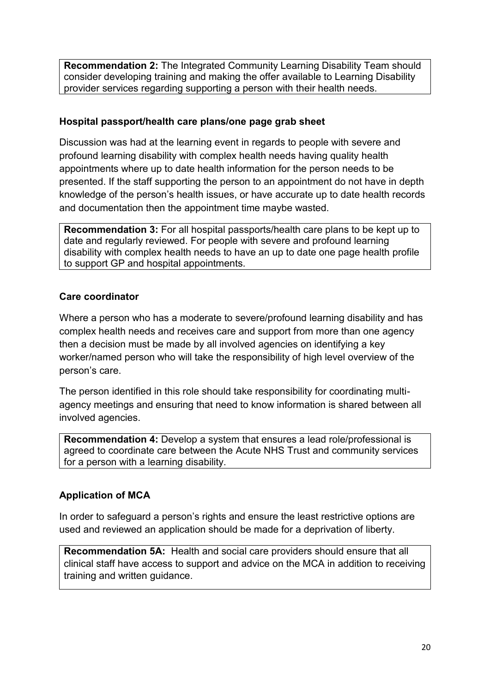**Recommendation 2:** The Integrated Community Learning Disability Team should consider developing training and making the offer available to Learning Disability provider services regarding supporting a person with their health needs.

#### **Hospital passport/health care plans/one page grab sheet**

Discussion was had at the learning event in regards to people with severe and profound learning disability with complex health needs having quality health appointments where up to date health information for the person needs to be presented. If the staff supporting the person to an appointment do not have in depth knowledge of the person's health issues, or have accurate up to date health records and documentation then the appointment time maybe wasted.

**Recommendation 3:** For all hospital passports/health care plans to be kept up to date and regularly reviewed. For people with severe and profound learning disability with complex health needs to have an up to date one page health profile to support GP and hospital appointments.

#### **Care coordinator**

Where a person who has a moderate to severe/profound learning disability and has complex health needs and receives care and support from more than one agency then a decision must be made by all involved agencies on identifying a key worker/named person who will take the responsibility of high level overview of the person's care.

The person identified in this role should take responsibility for coordinating multiagency meetings and ensuring that need to know information is shared between all involved agencies.

**Recommendation 4:** Develop a system that ensures a lead role/professional is agreed to coordinate care between the Acute NHS Trust and community services for a person with a learning disability.

# **Application of MCA**

In order to safeguard a person's rights and ensure the least restrictive options are used and reviewed an application should be made for a deprivation of liberty.

**Recommendation 5A:** Health and social care providers should ensure that all clinical staff have access to support and advice on the MCA in addition to receiving training and written guidance.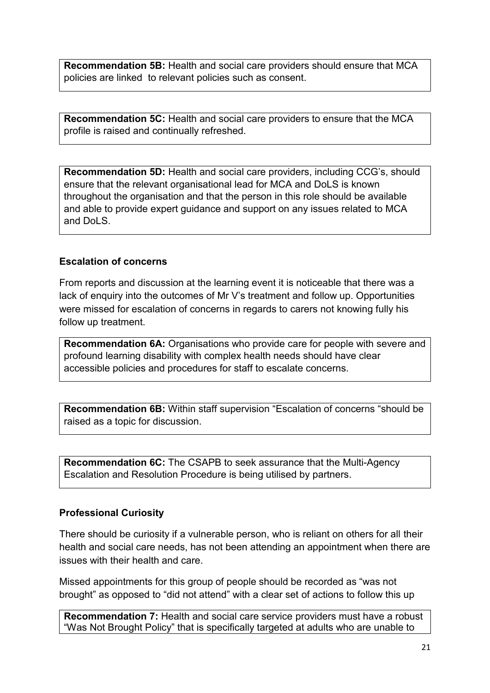**Recommendation 5B:** Health and social care providers should ensure that MCA policies are linked to relevant policies such as consent.

**Recommendation 5C:** Health and social care providers to ensure that the MCA profile is raised and continually refreshed.

**Recommendation 5D:** Health and social care providers, including CCG's, should ensure that the relevant organisational lead for MCA and DoLS is known throughout the organisation and that the person in this role should be available and able to provide expert guidance and support on any issues related to MCA and DoLS.

#### **Escalation of concerns**

From reports and discussion at the learning event it is noticeable that there was a lack of enquiry into the outcomes of Mr V's treatment and follow up. Opportunities were missed for escalation of concerns in regards to carers not knowing fully his follow up treatment.

**Recommendation 6A:** Organisations who provide care for people with severe and profound learning disability with complex health needs should have clear accessible policies and procedures for staff to escalate concerns.

**Recommendation 6B:** Within staff supervision "Escalation of concerns "should be raised as a topic for discussion.

**Recommendation 6C:** The CSAPB to seek assurance that the Multi-Agency Escalation and Resolution Procedure is being utilised by partners.

#### **Professional Curiosity**

There should be curiosity if a vulnerable person, who is reliant on others for all their health and social care needs, has not been attending an appointment when there are issues with their health and care.

Missed appointments for this group of people should be recorded as "was not brought" as opposed to "did not attend" with a clear set of actions to follow this up

**Recommendation 7:** Health and social care service providers must have a robust "Was Not Brought Policy" that is specifically targeted at adults who are unable to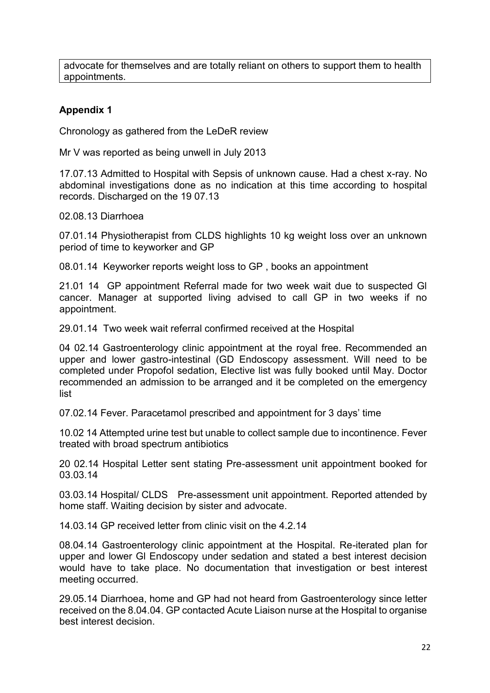advocate for themselves and are totally reliant on others to support them to health appointments.

# **Appendix 1**

Chronology as gathered from the LeDeR review

Mr V was reported as being unwell in July 2013

17.07.13 Admitted to Hospital with Sepsis of unknown cause. Had a chest x-ray. No abdominal investigations done as no indication at this time according to hospital records. Discharged on the 19 07.13

02.08.13 Diarrhoea

07.01.14 Physiotherapist from CLDS highlights 10 kg weight loss over an unknown period of time to keyworker and GP

08.01.14 Keyworker reports weight loss to GP , books an appointment

21.01 14 GP appointment Referral made for two week wait due to suspected Gl cancer. Manager at supported living advised to call GP in two weeks if no appointment.

29.01.14 Two week wait referral confirmed received at the Hospital

04 02.14 Gastroenterology clinic appointment at the royal free. Recommended an upper and lower gastro-intestinal (GD Endoscopy assessment. Will need to be completed under Propofol sedation, Elective list was fully booked until May. Doctor recommended an admission to be arranged and it be completed on the emergency list

07.02.14 Fever. Paracetamol prescribed and appointment for 3 days' time

10.02 14 Attempted urine test but unable to collect sample due to incontinence. Fever treated with broad spectrum antibiotics

20 02.14 Hospital Letter sent stating Pre-assessment unit appointment booked for 03.03.14

03.03.14 Hospital/ CLDS Pre-assessment unit appointment. Reported attended by home staff. Waiting decision by sister and advocate.

14.03.14 GP received letter from clinic visit on the 4.2.14

08.04.14 Gastroenterology clinic appointment at the Hospital. Re-iterated plan for upper and lower Gl Endoscopy under sedation and stated a best interest decision would have to take place. No documentation that investigation or best interest meeting occurred.

29.05.14 Diarrhoea, home and GP had not heard from Gastroenterology since letter received on the 8.04.04. GP contacted Acute Liaison nurse at the Hospital to organise best interest decision.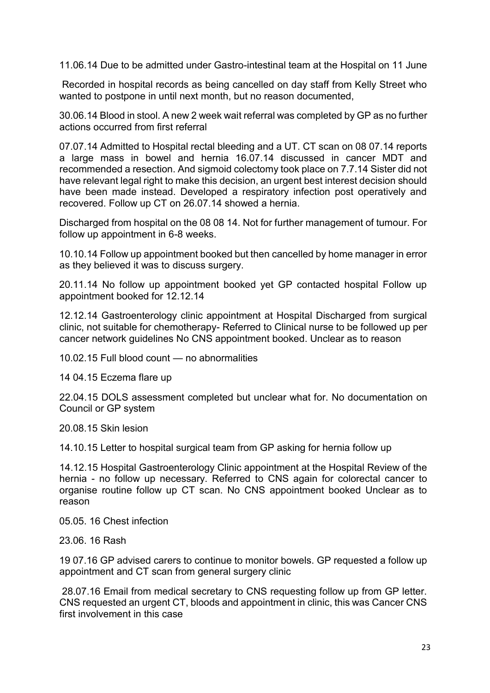11.06.14 Due to be admitted under Gastro-intestinal team at the Hospital on 11 June

Recorded in hospital records as being cancelled on day staff from Kelly Street who wanted to postpone in until next month, but no reason documented,

30.06.14 Blood in stool. A new 2 week wait referral was completed by GP as no further actions occurred from first referral

07.07.14 Admitted to Hospital rectal bleeding and a UT. CT scan on 08 07.14 reports a large mass in bowel and hernia 16.07.14 discussed in cancer MDT and recommended a resection. And sigmoid colectomy took place on 7.7.14 Sister did not have relevant legal right to make this decision, an urgent best interest decision should have been made instead. Developed a respiratory infection post operatively and recovered. Follow up CT on 26.07.14 showed a hernia.

Discharged from hospital on the 08 08 14. Not for further management of tumour. For follow up appointment in 6-8 weeks.

10.10.14 Follow up appointment booked but then cancelled by home manager in error as they believed it was to discuss surgery.

20.11.14 No follow up appointment booked yet GP contacted hospital Follow up appointment booked for 12.12.14

12.12.14 Gastroenterology clinic appointment at Hospital Discharged from surgical clinic, not suitable for chemotherapy- Referred to Clinical nurse to be followed up per cancer network guidelines No CNS appointment booked. Unclear as to reason

10.02.15 Full blood count — no abnormalities

14 04.15 Eczema flare up

22.04.15 DOLS assessment completed but unclear what for. No documentation on Council or GP system

20.08.15 Skin lesion

14.10.15 Letter to hospital surgical team from GP asking for hernia follow up

14.12.15 Hospital Gastroenterology Clinic appointment at the Hospital Review of the hernia - no follow up necessary. Referred to CNS again for colorectal cancer to organise routine follow up CT scan. No CNS appointment booked Unclear as to reason

05.05. 16 Chest infection

23.06. 16 Rash

19 07.16 GP advised carers to continue to monitor bowels. GP requested a follow up appointment and CT scan from general surgery clinic

28.07.16 Email from medical secretary to CNS requesting follow up from GP letter. CNS requested an urgent CT, bloods and appointment in clinic, this was Cancer CNS first involvement in this case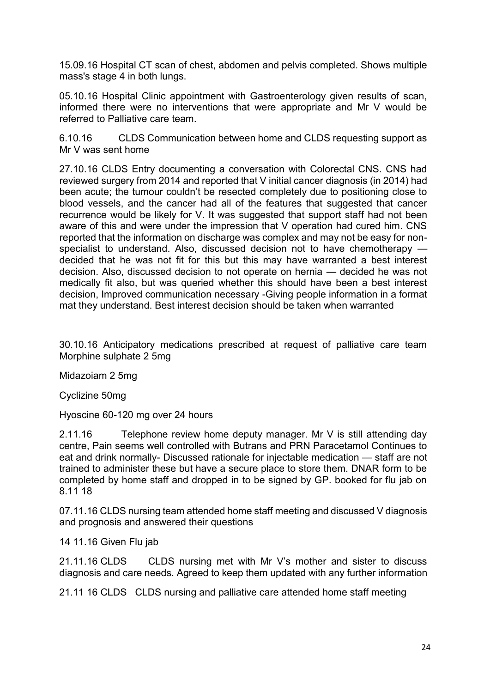15.09.16 Hospital CT scan of chest, abdomen and pelvis completed. Shows multiple mass's stage 4 in both lungs.

05.10.16 Hospital Clinic appointment with Gastroenterology given results of scan, informed there were no interventions that were appropriate and Mr V would be referred to Palliative care team.

6.10.16 CLDS Communication between home and CLDS requesting support as Mr V was sent home

27.10.16 CLDS Entry documenting a conversation with Colorectal CNS. CNS had reviewed surgery from 2014 and reported that V initial cancer diagnosis (in 2014) had been acute; the tumour couldn't be resected completely due to positioning close to blood vessels, and the cancer had all of the features that suggested that cancer recurrence would be likely for V. It was suggested that support staff had not been aware of this and were under the impression that V operation had cured him. CNS reported that the information on discharge was complex and may not be easy for nonspecialist to understand. Also, discussed decision not to have chemotherapy decided that he was not fit for this but this may have warranted a best interest decision. Also, discussed decision to not operate on hernia — decided he was not medically fit also, but was queried whether this should have been a best interest decision, Improved communication necessary -Giving people information in a format mat they understand. Best interest decision should be taken when warranted

30.10.16 Anticipatory medications prescribed at request of palliative care team Morphine sulphate 2 5mg

Midazoiam 2 5mg

Cyclizine 50mg

Hyoscine 60-120 mg over 24 hours

2.11.16 Telephone review home deputy manager. Mr V is still attending day centre, Pain seems well controlled with Butrans and PRN Paracetamol Continues to eat and drink normally- Discussed rationale for injectable medication — staff are not trained to administer these but have a secure place to store them. DNAR form to be completed by home staff and dropped in to be signed by GP. booked for flu jab on 8.11 18

07.11.16 CLDS nursing team attended home staff meeting and discussed V diagnosis and prognosis and answered their questions

14 11.16 Given Flu jab

21.11.16 CLDS CLDS nursing met with Mr V's mother and sister to discuss diagnosis and care needs. Agreed to keep them updated with any further information

21.11 16 CLDS CLDS nursing and palliative care attended home staff meeting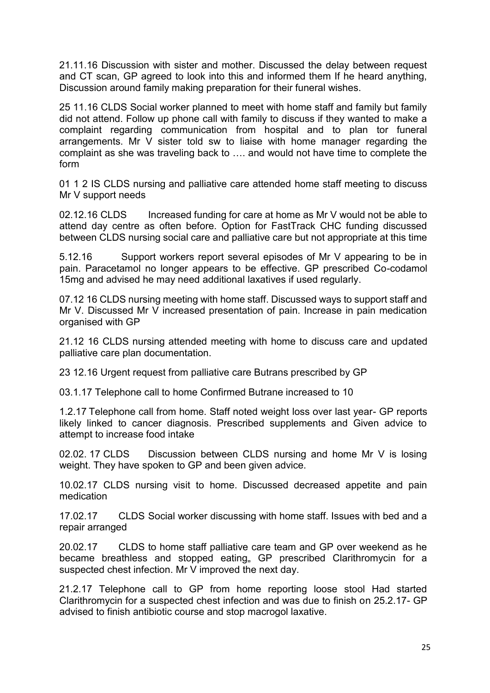21.11.16 Discussion with sister and mother. Discussed the delay between request and CT scan, GP agreed to look into this and informed them If he heard anything, Discussion around family making preparation for their funeral wishes.

25 11.16 CLDS Social worker planned to meet with home staff and family but family did not attend. Follow up phone call with family to discuss if they wanted to make a complaint regarding communication from hospital and to plan tor funeral arrangements. Mr V sister told sw to liaise with home manager regarding the complaint as she was traveling back to …. and would not have time to complete the form

01 1 2 IS CLDS nursing and palliative care attended home staff meeting to discuss Mr V support needs

02.12.16 CLDS lncreased funding for care at home as Mr V would not be able to attend day centre as often before. Option for FastTrack CHC funding discussed between CLDS nursing social care and palliative care but not appropriate at this time

5.12.16 Support workers report several episodes of Mr V appearing to be in pain. Paracetamol no longer appears to be effective. GP prescribed Co-codamol 15mg and advised he may need additional laxatives if used regularly.

07.12 16 CLDS nursing meeting with home staff. Discussed ways to support staff and Mr V. Discussed Mr V increased presentation of pain. Increase in pain medication organised with GP

21.12 16 CLDS nursing attended meeting with home to discuss care and updated palliative care plan documentation.

23 12.16 Urgent request from palliative care Butrans prescribed by GP

03.1.17 Telephone call to home Confirmed Butrane increased to 10

1.2.17 Telephone call from home. Staff noted weight loss over last year- GP reports likely linked to cancer diagnosis. Prescribed supplements and Given advice to attempt to increase food intake

02.02. 17 CLDS Discussion between CLDS nursing and home Mr V is losing weight. They have spoken to GP and been given advice.

10.02.17 CLDS nursing visit to home. Discussed decreased appetite and pain medication

17.02.17 CLDS Social worker discussing with home staff. Issues with bed and a repair arranged

20.02.17 CLDS to home staff palliative care team and GP over weekend as he became breathless and stopped eating, GP prescribed Clarithromycin for a suspected chest infection. Mr V improved the next day.

21.2.17 Telephone call to GP from home reporting loose stool Had started Clarithromycin for a suspected chest infection and was due to finish on 25.2.17- GP advised to finish antibiotic course and stop macrogol laxative.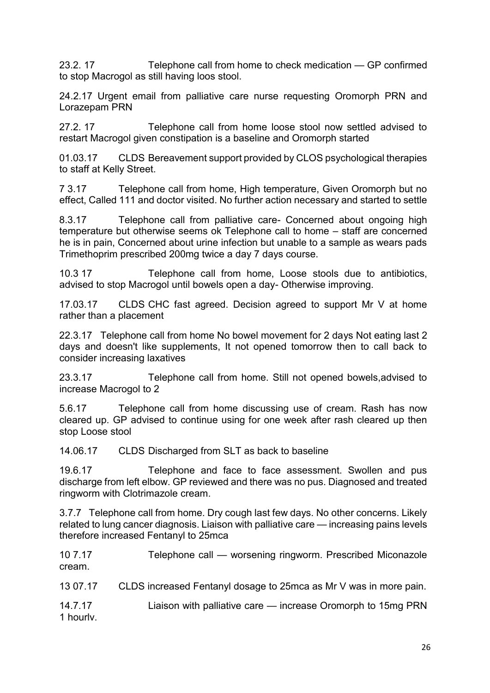23.2. 17 Telephone call from home to check medication — GP confirmed to stop Macrogol as still having loos stool.

24.2.17 Urgent email from palliative care nurse requesting Oromorph PRN and Lorazepam PRN

27.2. 17 Telephone call from home loose stool now settled advised to restart Macrogol given constipation is a baseline and Oromorph started

01.03.17 CLDS Bereavement support provided by CLOS psychological therapies to staff at Kelly Street.

7 3.17 Telephone call from home, High temperature, Given Oromorph but no effect, Called 111 and doctor visited. No further action necessary and started to settle

8.3.17 Telephone call from palliative care- Concerned about ongoing high temperature but otherwise seems ok Telephone call to home – staff are concerned he is in pain, Concerned about urine infection but unable to a sample as wears pads Trimethoprim prescribed 200mg twice a day 7 days course.

10.3 17 Telephone call from home, Loose stools due to antibiotics, advised to stop Macrogol until bowels open a day- Otherwise improving.

17.03.17 CLDS CHC fast agreed. Decision agreed to support Mr V at home rather than a placement

22.3.17 Telephone call from home No bowel movement for 2 days Not eating last 2 days and doesn't like supplements, It not opened tomorrow then to call back to consider increasing laxatives

23.3.17 Telephone call from home. Still not opened bowels,advised to increase Macrogol to 2

5.6.17 Telephone call from home discussing use of cream. Rash has now cleared up. GP advised to continue using for one week after rash cleared up then stop Loose stool

14.06.17 CLDS Discharged from SLT as back to baseline

19.6.17 Telephone and face to face assessment. Swollen and pus discharge from left elbow. GP reviewed and there was no pus. Diagnosed and treated ringworm with Clotrimazole cream.

3.7.7 Telephone call from home. Dry cough last few days. No other concerns. Likely related to lung cancer diagnosis. Liaison with palliative care — increasing pains levels therefore increased Fentanyl to 25mca

10 7.17 Telephone call — worsening ringworm. Prescribed Miconazole cream.

13 07.17 CLDS increased Fentanyl dosage to 25mca as Mr V was in more pain.

14.7.17 Liaison with palliative care — increase Oromorph to 15mg PRN 1 hourlv.